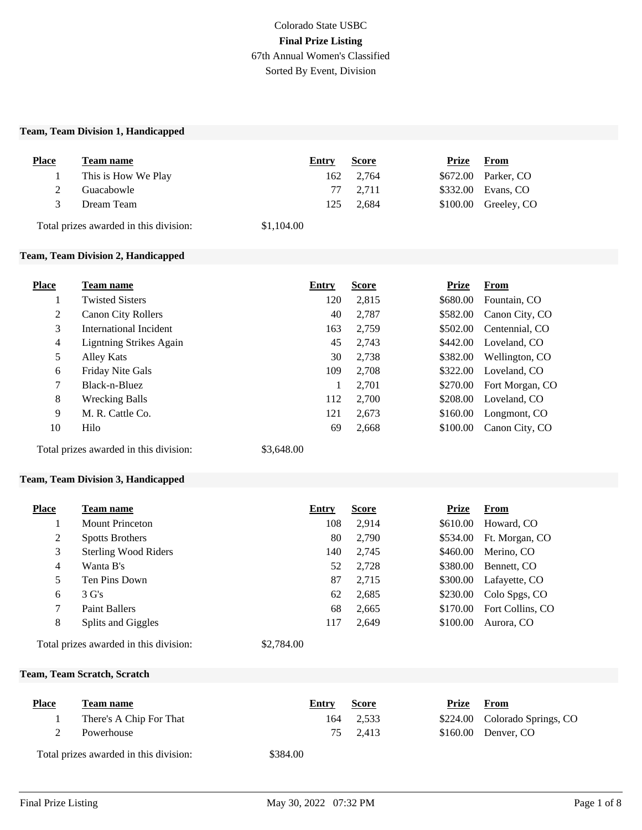# Colorado State USBC **Final Prize Listing** 67th Annual Women's Classified Sorted By Event, Division

#### **Team, Team Division 1, Handicapped**

| <b>Place</b> | Team name                              | Entry      | <b>Score</b> | Prize | From                  |
|--------------|----------------------------------------|------------|--------------|-------|-----------------------|
|              | This is How We Play                    | 162        | 2,764        |       | \$672.00 Parker, CO   |
|              | Guacabowle                             |            | 77 2.711     |       | \$332.00 Evans, CO    |
| 3            | Dream Team                             | 125        | 2.684        |       | $$100.00$ Greeley, CO |
|              | Total prizes awarded in this division: | \$1,104.00 |              |       |                       |

## **Team, Team Division 2, Handicapped**

| <b>Team name</b>               | Entry | <b>Score</b> | <b>Prize</b> | From            |
|--------------------------------|-------|--------------|--------------|-----------------|
| <b>Twisted Sisters</b>         | 120   | 2,815        | \$680.00     | Fountain, CO    |
| <b>Canon City Rollers</b>      | 40    | 2,787        | \$582.00     | Canon City, CO  |
| International Incident         | 163   | 2,759        | \$502.00     | Centennial, CO  |
| <b>Ligntning Strikes Again</b> | 45    | 2,743        | \$442.00     | Loveland, CO    |
| Alley Kats                     | 30    | 2,738        | \$382.00     | Wellington, CO  |
| Friday Nite Gals               | 109   | 2,708        | \$322.00     | Loveland, CO    |
| Black-n-Bluez                  | 1     | 2,701        | \$270.00     | Fort Morgan, CO |
| <b>Wrecking Balls</b>          | 112   | 2,700        | \$208.00     | Loveland, CO    |
| M. R. Cattle Co.               | 121   | 2,673        | \$160.00     | Longmont, CO    |
| Hilo                           | 69    | 2,668        | \$100.00     | Canon City, CO  |
|                                |       |              |              |                 |

Total prizes awarded in this division: \$3,648.00

#### **Team, Team Division 3, Handicapped**

| <b>Place</b> | Team name                              | Entry      | <b>Score</b> | Prize    | From             |
|--------------|----------------------------------------|------------|--------------|----------|------------------|
|              | Mount Princeton                        | 108        | 2,914        | \$610.00 | Howard, CO       |
| 2            | <b>Spotts Brothers</b>                 | 80         | 2,790        | \$534.00 | Ft. Morgan, CO   |
| 3            | <b>Sterling Wood Riders</b>            | 140        | 2,745        | \$460.00 | Merino, CO       |
| 4            | Wanta B's                              | 52         | 2,728        | \$380.00 | Bennett, CO      |
| 5            | Ten Pins Down                          | 87         | 2,715        | \$300.00 | Lafayette, CO    |
| 6            | $3 \text{ G's}$                        | 62         | 2,685        | \$230.00 | Colo Spgs, CO    |
| 7            | <b>Paint Ballers</b>                   | 68         | 2,665        | \$170.00 | Fort Collins, CO |
| 8            | Splits and Giggles                     | 117        | 2,649        | \$100.00 | Aurora, CO       |
|              | Total prizes awarded in this division: | \$2,784.00 |              |          |                  |

## **Team, Team Scratch, Scratch**

| <b>Place</b> | Team name                              | Entry    | <b>Score</b> | Prize | From                          |
|--------------|----------------------------------------|----------|--------------|-------|-------------------------------|
|              | There's A Chip For That                | 164      | 2.533        |       | \$224.00 Colorado Springs, CO |
|              | Powerhouse                             |          | 75 2.413     |       | $$160.00$ Denver, CO          |
|              | Total prizes awarded in this division: | \$384.00 |              |       |                               |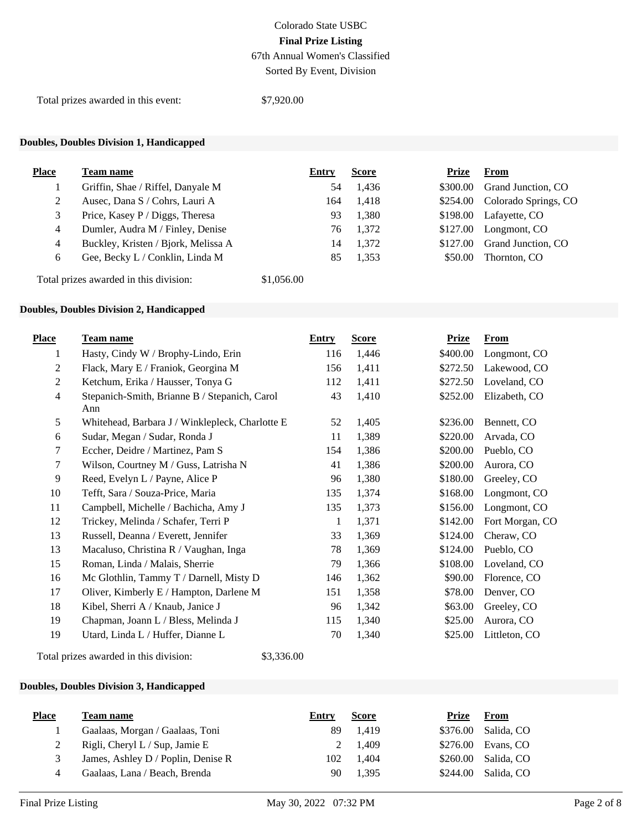67th Annual Women's Classified Sorted By Event, Division

Total prizes awarded in this event: \$7,920.00

# **Doubles, Doubles Division 1, Handicapped**

| <b>Place</b> | Team name                           | Entry | <b>Score</b> | Prize    | From                          |
|--------------|-------------------------------------|-------|--------------|----------|-------------------------------|
|              | Griffin, Shae / Riffel, Danyale M   | 54    | 1,436        | \$300.00 | Grand Junction, CO            |
|              | Ausec, Dana S / Cohrs, Lauri A      | 164   | 1,418        |          | \$254.00 Colorado Springs, CO |
| 3            | Price, Kasey P / Diggs, Theresa     | 93    | 1,380        |          | \$198.00 Lafayette, CO        |
| 4            | Dumler, Audra M / Finley, Denise    | 76    | 1,372        | \$127.00 | Longmont, CO                  |
| 4            | Buckley, Kristen / Bjork, Melissa A | 14    | 1,372        | \$127.00 | Grand Junction, CO            |
| 6            | Gee, Becky L / Conklin, Linda M     | 85    | 1.353        | \$50.00  | Thornton, CO                  |
|              |                                     |       |              |          |                               |

Total prizes awarded in this division: \$1,056.00

### **Doubles, Doubles Division 2, Handicapped**

| <b>Place</b>   | <b>Team name</b>                                     | <b>Entry</b> | <b>Score</b> | <b>Prize</b> | <b>From</b>     |
|----------------|------------------------------------------------------|--------------|--------------|--------------|-----------------|
| 1              | Hasty, Cindy W / Brophy-Lindo, Erin                  | 116          | 1,446        | \$400.00     | Longmont, CO    |
| 2              | Flack, Mary E / Franiok, Georgina M                  | 156          | 1,411        | \$272.50     | Lakewood, CO    |
| 2              | Ketchum, Erika / Hausser, Tonya G                    | 112          | 1,411        | \$272.50     | Loveland, CO    |
| $\overline{4}$ | Stepanich-Smith, Brianne B / Stepanich, Carol<br>Ann | 43           | 1,410        | \$252.00     | Elizabeth, CO   |
| 5              | Whitehead, Barbara J / Winklepleck, Charlotte E      | 52           | 1,405        | \$236.00     | Bennett, CO     |
| 6              | Sudar, Megan / Sudar, Ronda J                        | 11           | 1,389        | \$220.00     | Arvada, CO      |
| 7              | Eccher, Deidre / Martinez, Pam S                     | 154          | 1,386        | \$200.00     | Pueblo, CO      |
| 7              | Wilson, Courtney M / Guss, Latrisha N                | 41           | 1,386        | \$200.00     | Aurora, CO      |
| 9              | Reed, Evelyn L / Payne, Alice P                      | 96           | 1,380        | \$180.00     | Greeley, CO     |
| 10             | Tefft, Sara / Souza-Price, Maria                     | 135          | 1,374        | \$168.00     | Longmont, CO    |
| 11             | Campbell, Michelle / Bachicha, Amy J                 | 135          | 1,373        | \$156.00     | Longmont, CO    |
| 12             | Trickey, Melinda / Schafer, Terri P                  | 1            | 1,371        | \$142.00     | Fort Morgan, CO |
| 13             | Russell, Deanna / Everett, Jennifer                  | 33           | 1,369        | \$124.00     | Cheraw, CO      |
| 13             | Macaluso, Christina R / Vaughan, Inga                | 78           | 1,369        | \$124.00     | Pueblo, CO      |
| 15             | Roman, Linda / Malais, Sherrie                       | 79           | 1,366        | \$108.00     | Loveland, CO    |
| 16             | Mc Glothlin, Tammy T / Darnell, Misty D              | 146          | 1,362        | \$90.00      | Florence, CO    |
| 17             | Oliver, Kimberly E / Hampton, Darlene M              | 151          | 1,358        | \$78.00      | Denver, CO      |
| 18             | Kibel, Sherri A / Knaub, Janice J                    | 96           | 1,342        | \$63.00      | Greeley, CO     |
| 19             | Chapman, Joann L / Bless, Melinda J                  | 115          | 1,340        | \$25.00      | Aurora, CO      |
| 19             | Utard, Linda L / Huffer, Dianne L                    | 70           | 1,340        | \$25.00      | Littleton, CO   |

Total prizes awarded in this division: \$3,336.00

# **Doubles, Doubles Division 3, Handicapped**

| <b>Place</b> | Team name                          | Entry | <b>Score</b> | Prize    | From                |
|--------------|------------------------------------|-------|--------------|----------|---------------------|
|              | Gaalaas, Morgan / Gaalaas, Toni    | 89    | 1.419        |          | \$376.00 Salida, CO |
|              | Rigli, Cheryl L / Sup, Jamie E     |       | 2 1.409      |          | \$276.00 Evans, CO  |
|              | James, Ashley D / Poplin, Denise R | 102   | 1.404        |          | \$260.00 Salida, CO |
|              | Gaalaas, Lana / Beach, Brenda      |       | 1.395        | \$244.00 | Salida, CO          |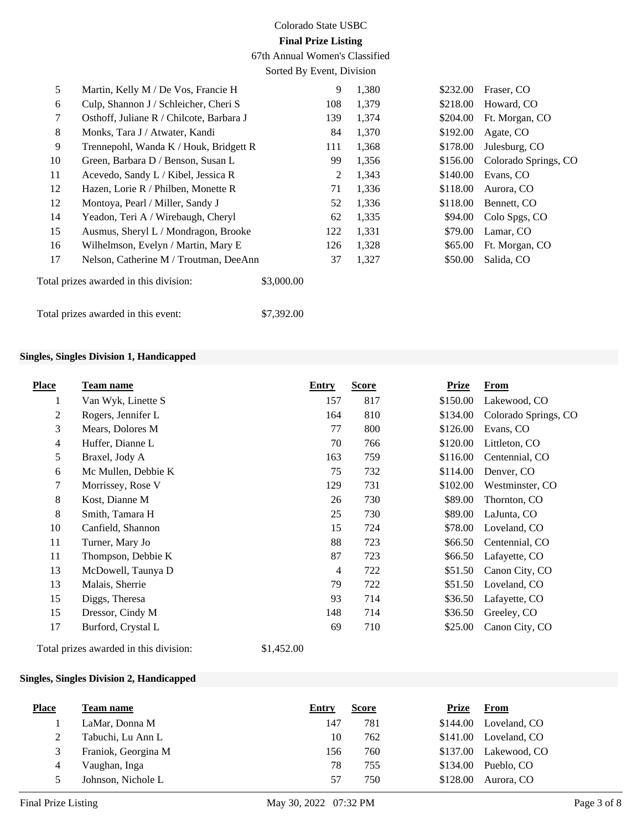67th Annual Women's Classified

Sorted By Event, Division

| 5      | Martin, Kelly M / De Vos, Francie H      |            | 9   | 1,380 | \$232.00 | Fraser, CO           |
|--------|------------------------------------------|------------|-----|-------|----------|----------------------|
| 6      | Culp, Shannon J / Schleicher, Cheri S    |            | 108 | 1,379 | \$218.00 | Howard, CO           |
| $\tau$ | Osthoff, Juliane R / Chilcote, Barbara J |            | 139 | 1,374 | \$204.00 | Ft. Morgan, CO       |
| 8      | Monks, Tara J / Atwater, Kandi           |            | 84  | 1,370 | \$192.00 | Agate, CO            |
| 9      | Trennepohl, Wanda K / Houk, Bridgett R   |            | 111 | 1,368 | \$178.00 | Julesburg, CO        |
| 10     | Green, Barbara D / Benson, Susan L       |            | 99  | 1,356 | \$156.00 | Colorado Springs, CO |
| 11     | Acevedo, Sandy L / Kibel, Jessica R      |            | 2   | 1,343 | \$140.00 | Evans, CO            |
| 12     | Hazen, Lorie R / Philben, Monette R      |            | 71  | 1,336 | \$118.00 | Aurora, CO           |
| 12     | Montoya, Pearl / Miller, Sandy J         |            | 52  | 1,336 | \$118.00 | Bennett, CO          |
| 14     | Yeadon, Teri A / Wirebaugh, Cheryl       |            | 62  | 1,335 | \$94.00  | Colo Spgs, CO        |
| 15     | Ausmus, Sheryl L / Mondragon, Brooke     |            | 122 | 1,331 | \$79.00  | Lamar, CO            |
| 16     | Wilhelmson, Evelyn / Martin, Mary E      |            | 126 | 1,328 | \$65.00  | Ft. Morgan, CO       |
| 17     | Nelson, Catherine M / Troutman, DeeAnn   |            | 37  | 1,327 | \$50.00  | Salida, CO           |
|        | Total prizes awarded in this division:   | \$3,000.00 |     |       |          |                      |
|        | Total prizes awarded in this event:      | \$7,392.00 |     |       |          |                      |

## **Singles, Singles Division 1, Handicapped**

| <b>Place</b>     | Team name           | <b>Entry</b>   | <b>Score</b> | <b>Prize</b> | <b>From</b>          |
|------------------|---------------------|----------------|--------------|--------------|----------------------|
| 1                | Van Wyk, Linette S  | 157            | 817          | \$150.00     | Lakewood, CO         |
| $\boldsymbol{2}$ | Rogers, Jennifer L  | 164            | 810          | \$134.00     | Colorado Springs, CO |
| 3                | Mears, Dolores M    | 77             | 800          | \$126.00     | Evans, CO            |
| $\overline{4}$   | Huffer, Dianne L    | 70             | 766          | \$120.00     | Littleton, CO        |
| 5                | Braxel, Jody A      | 163            | 759          | \$116.00     | Centennial, CO       |
| 6                | Mc Mullen, Debbie K | 75             | 732          | \$114.00     | Denver, CO           |
| 7                | Morrissey, Rose V   | 129            | 731          | \$102.00     | Westminster, CO      |
| 8                | Kost, Dianne M      | 26             | 730          | \$89.00      | Thornton, CO         |
| $\,8\,$          | Smith, Tamara H     | 25             | 730          | \$89.00      | LaJunta, CO          |
| 10               | Canfield, Shannon   | 15             | 724          | \$78.00      | Loveland, CO         |
| 11               | Turner, Mary Jo     | 88             | 723          | \$66.50      | Centennial, CO       |
| 11               | Thompson, Debbie K  | 87             | 723          | \$66.50      | Lafayette, CO        |
| 13               | McDowell, Taunya D  | $\overline{4}$ | 722          | \$51.50      | Canon City, CO       |
| 13               | Malais, Sherrie     | 79             | 722          | \$51.50      | Loveland, CO         |
| 15               | Diggs, Theresa      | 93             | 714          | \$36.50      | Lafayette, CO        |
| 15               | Dressor, Cindy M    | 148            | 714          | \$36.50      | Greeley, CO          |
| 17               | Burford, Crystal L  | 69             | 710          | \$25.00      | Canon City, CO       |

Total prizes awarded in this division: \$1,452.00

### **Singles, Singles Division 2, Handicapped**

| <b>Place</b>  | Team name           | Entry | <b>Score</b> | Prize    | From         |
|---------------|---------------------|-------|--------------|----------|--------------|
|               | LaMar, Donna M      | 147   | 781          | \$144.00 | Loveland, CO |
|               | Tabuchi, Lu Ann L   | 10    | 762          | \$141.00 | Loveland, CO |
| 3             | Franiok, Georgina M | 156   | 760          | \$137.00 | Lakewood, CO |
| 4             | Vaughan, Inga       | 78    | 755          | \$134.00 | Pueblo, CO   |
| $\mathcal{D}$ | Johnson, Nichole L  | 57    | 750          | \$128.00 | Aurora, CO   |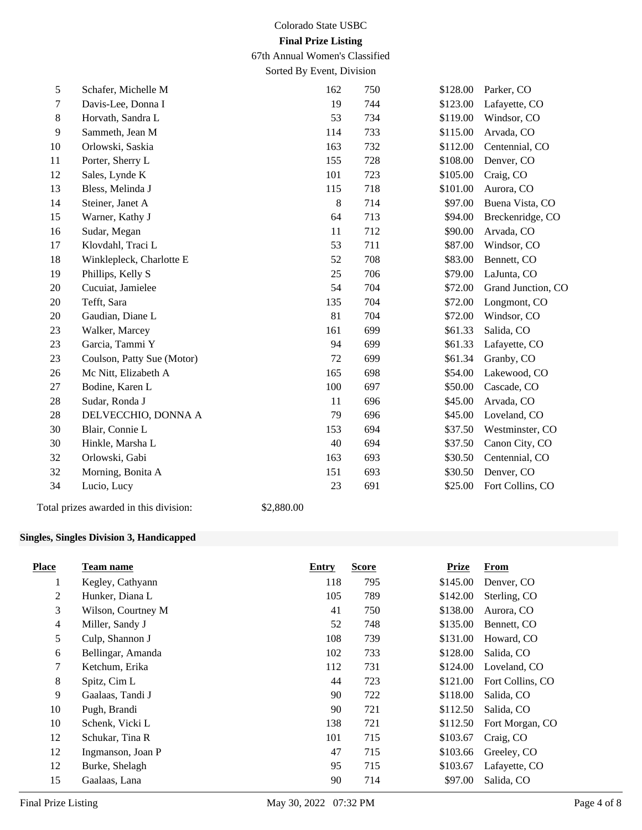67th Annual Women's Classified

Sorted By Event, Division

| 5              | Schafer, Michelle M                    | 162        | 750            | \$128.00 | Parker, CO         |
|----------------|----------------------------------------|------------|----------------|----------|--------------------|
| $\overline{7}$ | Davis-Lee, Donna I                     | 19         | 744            | \$123.00 | Lafayette, CO      |
| $\,8\,$        | Horvath, Sandra L                      | 53         | 734            | \$119.00 | Windsor, CO        |
| $\overline{9}$ | Sammeth, Jean M                        | 114        | 733            | \$115.00 | Arvada, CO         |
| 10             | Orlowski, Saskia                       | 163        | 732            | \$112.00 | Centennial, CO     |
| 11             | Porter, Sherry L                       | 155        | 728            | \$108.00 | Denver, CO         |
| 12             | Sales, Lynde K                         | 101        | 723            | \$105.00 | Craig, CO          |
| 13             | Bless, Melinda J                       | 115        | 718            | \$101.00 | Aurora, CO         |
| 14             | Steiner, Janet A                       |            | $\,8\,$<br>714 | \$97.00  | Buena Vista, CO    |
| 15             | Warner, Kathy J                        | 64         | 713            | \$94.00  | Breckenridge, CO   |
| 16             | Sudar, Megan                           | 11         | 712            | \$90.00  | Arvada, CO         |
| 17             | Klovdahl, Traci L                      | 53         | 711            | \$87.00  | Windsor, CO        |
| 18             | Winklepleck, Charlotte E               | 52         | 708            | \$83.00  | Bennett, CO        |
| 19             | Phillips, Kelly S                      | 25         | 706            | \$79.00  | LaJunta, CO        |
| 20             | Cucuiat, Jamielee                      | 54         | 704            | \$72.00  | Grand Junction, CO |
| 20             | Tefft, Sara                            | 135        | 704            | \$72.00  | Longmont, CO       |
| 20             | Gaudian, Diane L                       | 81         | 704            | \$72.00  | Windsor, CO        |
| 23             | Walker, Marcey                         | 161        | 699            | \$61.33  | Salida, CO         |
| 23             | Garcia, Tammi Y                        | 94         | 699            | \$61.33  | Lafayette, CO      |
| 23             | Coulson, Patty Sue (Motor)             | 72         | 699            | \$61.34  | Granby, CO         |
| 26             | Mc Nitt, Elizabeth A                   | 165        | 698            | \$54.00  | Lakewood, CO       |
| 27             | Bodine, Karen L                        | 100        | 697            | \$50.00  | Cascade, CO        |
| 28             | Sudar, Ronda J                         | 11         | 696            | \$45.00  | Arvada, CO         |
| $28\,$         | DELVECCHIO, DONNA A                    | 79         | 696            | \$45.00  | Loveland, CO       |
| 30             | Blair, Connie L                        | 153        | 694            | \$37.50  | Westminster, CO    |
| 30             | Hinkle, Marsha L                       | 40         | 694            | \$37.50  | Canon City, CO     |
| 32             | Orlowski, Gabi                         | 163        | 693            | \$30.50  | Centennial, CO     |
| 32             | Morning, Bonita A                      | 151        | 693            | \$30.50  | Denver, CO         |
| 34             | Lucio, Lucy                            | 23         | 691            | \$25.00  | Fort Collins, CO   |
|                | Total prizes awarded in this division: | \$2,880.00 |                |          |                    |

## **Singles, Singles Division 3, Handicapped**

| <b>Place</b>   | Team name          | Entry | <b>Score</b> | <b>Prize</b> | <b>From</b>      |
|----------------|--------------------|-------|--------------|--------------|------------------|
| 1              | Kegley, Cathyann   | 118   | 795          | \$145.00     | Denver, CO       |
| $\mathfrak{2}$ | Hunker, Diana L    | 105   | 789          | \$142.00     | Sterling, CO     |
| 3              | Wilson, Courtney M | 41    | 750          | \$138.00     | Aurora, CO       |
| $\overline{4}$ | Miller, Sandy J    | 52    | 748          | \$135.00     | Bennett, CO      |
| 5              | Culp, Shannon J    | 108   | 739          | \$131.00     | Howard, CO       |
| 6              | Bellingar, Amanda  | 102   | 733          | \$128.00     | Salida, CO       |
| 7              | Ketchum, Erika     | 112   | 731          | \$124.00     | Loveland, CO     |
| 8              | Spitz, Cim L       | 44    | 723          | \$121.00     | Fort Collins, CO |
| 9              | Gaalaas, Tandi J   | 90    | 722          | \$118.00     | Salida, CO       |
| 10             | Pugh, Brandi       | 90    | 721          | \$112.50     | Salida, CO       |
| 10             | Schenk, Vicki L    | 138   | 721          | \$112.50     | Fort Morgan, CO  |
| 12             | Schukar, Tina R    | 101   | 715          | \$103.67     | Craig, CO        |
| 12             | Ingmanson, Joan P  | 47    | 715          | \$103.66     | Greeley, CO      |
| 12             | Burke, Shelagh     | 95    | 715          | \$103.67     | Lafayette, CO    |
| 15             | Gaalaas, Lana      | 90    | 714          | \$97.00      | Salida, CO       |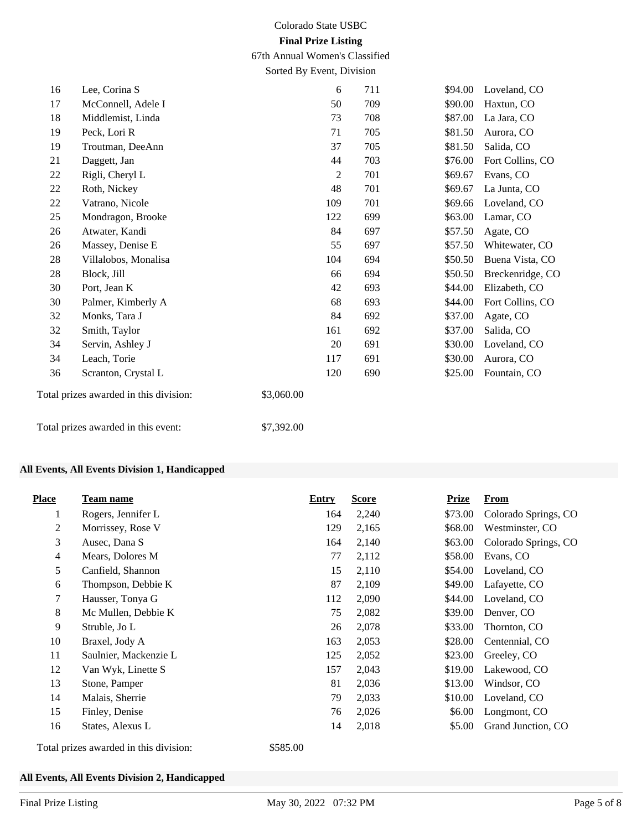67th Annual Women's Classified

Sorted By Event, Division

| 16     | Lee, Corina S                          |            | 6   | 711 | \$94.00 | Loveland, CO     |
|--------|----------------------------------------|------------|-----|-----|---------|------------------|
| 17     | McConnell, Adele I                     |            | 50  | 709 | \$90.00 | Haxtun, CO       |
| 18     | Middlemist, Linda                      |            | 73  | 708 | \$87.00 | La Jara, CO      |
| 19     | Peck, Lori R                           |            | 71  | 705 | \$81.50 | Aurora, CO       |
| 19     | Troutman, DeeAnn                       |            | 37  | 705 | \$81.50 | Salida, CO       |
| 21     | Daggett, Jan                           |            | 44  | 703 | \$76.00 | Fort Collins, CO |
| $22\,$ | Rigli, Cheryl L                        |            | 2   | 701 | \$69.67 | Evans, CO        |
| $22\,$ | Roth, Nickey                           |            | 48  | 701 | \$69.67 | La Junta, CO     |
| 22     | Vatrano, Nicole                        |            | 109 | 701 | \$69.66 | Loveland, CO     |
| 25     | Mondragon, Brooke                      |            | 122 | 699 | \$63.00 | Lamar, CO        |
| 26     | Atwater, Kandi                         |            | 84  | 697 | \$57.50 | Agate, CO        |
| 26     | Massey, Denise E                       |            | 55  | 697 | \$57.50 | Whitewater, CO   |
| 28     | Villalobos, Monalisa                   |            | 104 | 694 | \$50.50 | Buena Vista, CO  |
| 28     | Block, Jill                            |            | 66  | 694 | \$50.50 | Breckenridge, CO |
| 30     | Port, Jean K                           |            | 42  | 693 | \$44.00 | Elizabeth, CO    |
| 30     | Palmer, Kimberly A                     |            | 68  | 693 | \$44.00 | Fort Collins, CO |
| 32     | Monks, Tara J                          |            | 84  | 692 | \$37.00 | Agate, CO        |
| 32     | Smith, Taylor                          |            | 161 | 692 | \$37.00 | Salida, CO       |
| 34     | Servin, Ashley J                       |            | 20  | 691 | \$30.00 | Loveland, CO     |
| 34     | Leach, Torie                           |            | 117 | 691 | \$30.00 | Aurora, CO       |
| 36     | Scranton, Crystal L                    |            | 120 | 690 | \$25.00 | Fountain, CO     |
|        | Total prizes awarded in this division: | \$3,060.00 |     |     |         |                  |
|        | Total prizes awarded in this event:    | \$7,392.00 |     |     |         |                  |

## **All Events, All Events Division 1, Handicapped**

| <b>Place</b>                           | Team name             | Entry    | <b>Score</b> | <b>Prize</b> | From                 |
|----------------------------------------|-----------------------|----------|--------------|--------------|----------------------|
| 1                                      | Rogers, Jennifer L    | 164      | 2,240        | \$73.00      | Colorado Springs, CO |
| 2                                      | Morrissey, Rose V     | 129      | 2,165        | \$68.00      | Westminster, CO      |
| 3                                      | Ausec, Dana S         | 164      | 2,140        | \$63.00      | Colorado Springs, CO |
| $\overline{4}$                         | Mears, Dolores M      | 77       | 2,112        | \$58.00      | Evans, CO            |
| 5                                      | Canfield, Shannon     | 15       | 2,110        | \$54.00      | Loveland, CO         |
| 6                                      | Thompson, Debbie K    | 87       | 2,109        | \$49.00      | Lafayette, CO        |
| 7                                      | Hausser, Tonya G      | 112      | 2,090        | \$44.00      | Loveland, CO         |
| 8                                      | Mc Mullen, Debbie K   | 75       | 2,082        | \$39.00      | Denver, CO           |
| 9                                      | Struble, Jo L         | 26       | 2,078        | \$33.00      | Thornton, CO         |
| 10                                     | Braxel, Jody A        | 163      | 2,053        | \$28.00      | Centennial, CO       |
| 11                                     | Saulnier, Mackenzie L | 125      | 2,052        | \$23.00      | Greeley, CO          |
| 12                                     | Van Wyk, Linette S    | 157      | 2,043        | \$19.00      | Lakewood, CO         |
| 13                                     | Stone, Pamper         | 81       | 2,036        | \$13.00      | Windsor, CO          |
| 14                                     | Malais, Sherrie       | 79       | 2,033        | \$10.00      | Loveland, CO         |
| 15                                     | Finley, Denise        | 76       | 2,026        | \$6.00       | Longmont, CO         |
| 16                                     | States, Alexus L      | 14       | 2,018        | \$5.00       | Grand Junction, CO   |
| Total prizes awarded in this division: |                       | \$585.00 |              |              |                      |

#### **All Events, All Events Division 2, Handicapped**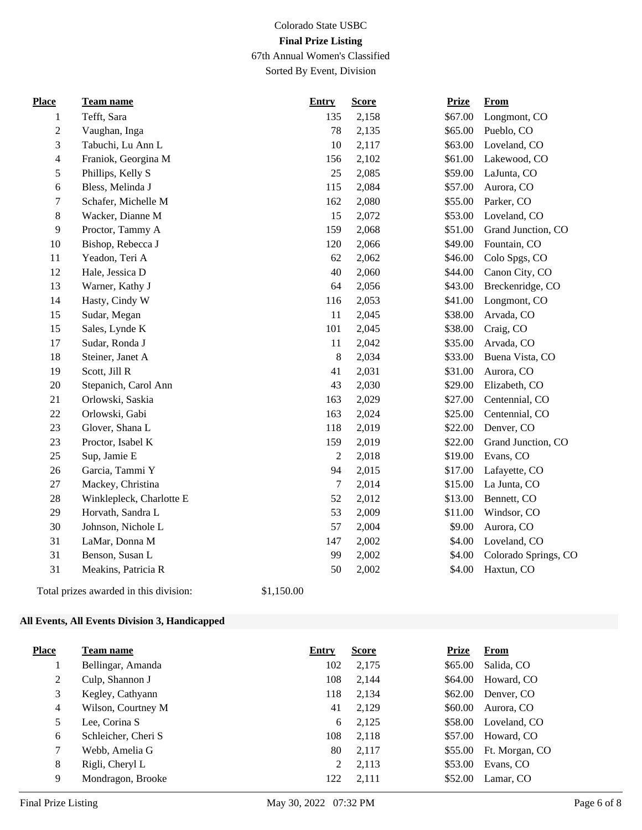67th Annual Women's Classified Sorted By Event, Division

| <b>Place</b>   | Team name                | <b>Entry</b>     | <b>Score</b> | <b>Prize</b> | <b>From</b>          |
|----------------|--------------------------|------------------|--------------|--------------|----------------------|
| 1              | Tefft, Sara              | 135              | 2,158        | \$67.00      | Longmont, CO         |
| $\overline{c}$ | Vaughan, Inga            | 78               | 2,135        | \$65.00      | Pueblo, CO           |
| 3              | Tabuchi, Lu Ann L        | 10               | 2,117        | \$63.00      | Loveland, CO         |
| 4              | Franiok, Georgina M      | 156              | 2,102        | \$61.00      | Lakewood, CO         |
| 5              | Phillips, Kelly S        | 25               | 2,085        | \$59.00      | LaJunta, CO          |
| 6              | Bless, Melinda J         | 115              | 2,084        | \$57.00      | Aurora, CO           |
| 7              | Schafer, Michelle M      | 162              | 2,080        | \$55.00      | Parker, CO           |
| $8\,$          | Wacker, Dianne M         | 15               | 2,072        | \$53.00      | Loveland, CO         |
| 9              | Proctor, Tammy A         | 159              | 2,068        | \$51.00      | Grand Junction, CO   |
| 10             | Bishop, Rebecca J        | 120              | 2,066        | \$49.00      | Fountain, CO         |
| 11             | Yeadon, Teri A           | 62               | 2,062        | \$46.00      | Colo Spgs, CO        |
| 12             | Hale, Jessica D          | 40               | 2,060        | \$44.00      | Canon City, CO       |
| 13             | Warner, Kathy J          | 64               | 2,056        | \$43.00      | Breckenridge, CO     |
| 14             | Hasty, Cindy W           | 116              | 2,053        | \$41.00      | Longmont, CO         |
| 15             | Sudar, Megan             | 11               | 2,045        | \$38.00      | Arvada, CO           |
| 15             | Sales, Lynde K           | 101              | 2,045        | \$38.00      | Craig, CO            |
| 17             | Sudar, Ronda J           | 11               | 2,042        | \$35.00      | Arvada, CO           |
| 18             | Steiner, Janet A         | $8\,$            | 2,034        | \$33.00      | Buena Vista, CO      |
| 19             | Scott, Jill R            | 41               | 2,031        | \$31.00      | Aurora, CO           |
| 20             | Stepanich, Carol Ann     | 43               | 2,030        | \$29.00      | Elizabeth, CO        |
| 21             | Orlowski, Saskia         | 163              | 2,029        | \$27.00      | Centennial, CO       |
| 22             | Orlowski, Gabi           | 163              | 2,024        | \$25.00      | Centennial, CO       |
| 23             | Glover, Shana L          | 118              | 2,019        | \$22.00      | Denver, CO           |
| 23             | Proctor, Isabel K        | 159              | 2,019        | \$22.00      | Grand Junction, CO   |
| 25             | Sup, Jamie E             | $\overline{2}$   | 2,018        | \$19.00      | Evans, CO            |
| 26             | Garcia, Tammi Y          | 94               | 2,015        | \$17.00      | Lafayette, CO        |
| 27             | Mackey, Christina        | $\boldsymbol{7}$ | 2,014        | \$15.00      | La Junta, CO         |
| $28\,$         | Winklepleck, Charlotte E | 52               | 2,012        | \$13.00      | Bennett, CO          |
| 29             | Horvath, Sandra L        | 53               | 2,009        | \$11.00      | Windsor, CO          |
| 30             | Johnson, Nichole L       | 57               | 2,004        | \$9.00       | Aurora, CO           |
| 31             | LaMar, Donna M           | 147              | 2,002        | \$4.00       | Loveland, CO         |
| 31             | Benson, Susan L          | 99               | 2,002        | \$4.00       | Colorado Springs, CO |
| 31             | Meakins, Patricia R      | 50               | 2,002        | \$4.00       | Haxtun, CO           |
|                |                          |                  |              |              |                      |

Total prizes awarded in this division: \$1,150.00

# **All Events, All Events Division 3, Handicapped**

| <b>Place</b> | Team name           | <b>Entry</b> | <b>Score</b> | Prize   | <b>From</b>    |
|--------------|---------------------|--------------|--------------|---------|----------------|
|              | Bellingar, Amanda   | 102          | 2,175        | \$65.00 | Salida, CO     |
| 2            | Culp, Shannon J     | 108          | 2,144        | \$64.00 | Howard, CO     |
| 3            | Kegley, Cathyann    | 118          | 2,134        | \$62.00 | Denver, CO     |
| 4            | Wilson, Courtney M  | 41           | 2,129        | \$60.00 | Aurora, CO     |
| 5            | Lee, Corina S       | 6            | 2,125        | \$58.00 | Loveland, CO   |
| 6            | Schleicher, Cheri S | 108          | 2,118        | \$57.00 | Howard, CO     |
| 7            | Webb, Amelia G      | 80           | 2,117        | \$55.00 | Ft. Morgan, CO |
| 8            | Rigli, Cheryl L     | 2            | 2,113        | \$53.00 | Evans, CO      |
| 9            | Mondragon, Brooke   | 122          | 2,111        | \$52.00 | Lamar, CO      |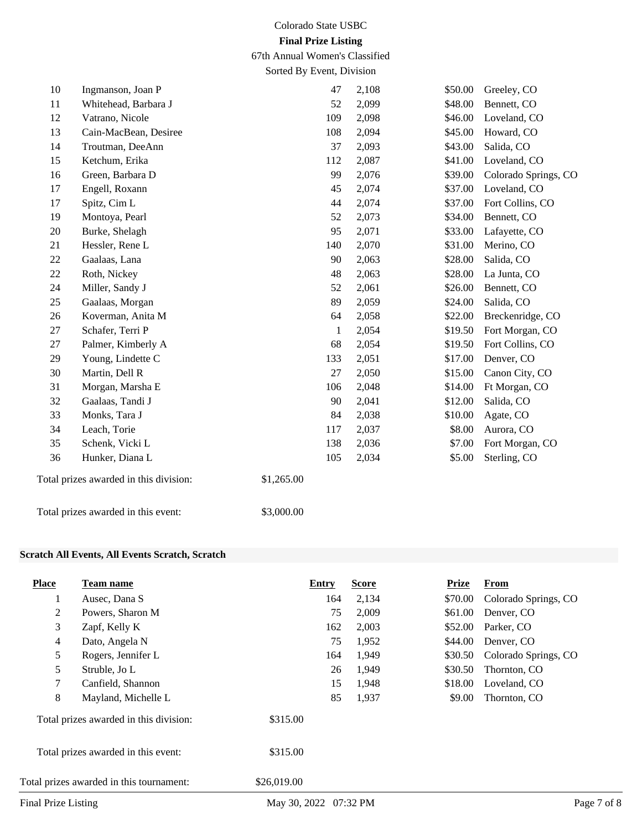67th Annual Women's Classified

Sorted By Event, Division

| 10                                     | Ingmanson, Joan P     | 47           | 2,108 | \$50.00 | Greeley, CO          |
|----------------------------------------|-----------------------|--------------|-------|---------|----------------------|
| 11                                     | Whitehead, Barbara J  | 52           | 2,099 | \$48.00 | Bennett, CO          |
| 12                                     | Vatrano, Nicole       | 109          | 2,098 | \$46.00 | Loveland, CO         |
| 13                                     | Cain-MacBean, Desiree | 108          | 2,094 | \$45.00 | Howard, CO           |
| 14                                     | Troutman, DeeAnn      | 37           | 2,093 | \$43.00 | Salida, CO           |
| 15                                     | Ketchum, Erika        | 112          | 2,087 | \$41.00 | Loveland, CO         |
| 16                                     | Green, Barbara D      | 99           | 2,076 | \$39.00 | Colorado Springs, CO |
| 17                                     | Engell, Roxann        | 45           | 2,074 | \$37.00 | Loveland, CO         |
| 17                                     | Spitz, Cim L          | 44           | 2,074 | \$37.00 | Fort Collins, CO     |
| 19                                     | Montoya, Pearl        | 52           | 2,073 | \$34.00 | Bennett, CO          |
| 20                                     | Burke, Shelagh        | 95           | 2,071 | \$33.00 | Lafayette, CO        |
| 21                                     | Hessler, Rene L       | 140          | 2,070 | \$31.00 | Merino, CO           |
| $22\,$                                 | Gaalaas, Lana         | 90           | 2,063 | \$28.00 | Salida, CO           |
| 22                                     | Roth, Nickey          | 48           | 2,063 | \$28.00 | La Junta, CO         |
| 24                                     | Miller, Sandy J       | 52           | 2,061 | \$26.00 | Bennett, CO          |
| 25                                     | Gaalaas, Morgan       | 89           | 2,059 | \$24.00 | Salida, CO           |
| 26                                     | Koverman, Anita M     | 64           | 2,058 | \$22.00 | Breckenridge, CO     |
| 27                                     | Schafer, Terri P      | $\mathbf{1}$ | 2,054 | \$19.50 | Fort Morgan, CO      |
| 27                                     | Palmer, Kimberly A    | 68           | 2,054 | \$19.50 | Fort Collins, CO     |
| 29                                     | Young, Lindette C     | 133          | 2,051 | \$17.00 | Denver, CO           |
| 30                                     | Martin, Dell R        | 27           | 2,050 | \$15.00 | Canon City, CO       |
| 31                                     | Morgan, Marsha E      | 106          | 2,048 | \$14.00 | Ft Morgan, CO        |
| $32\,$                                 | Gaalaas, Tandi J      | 90           | 2,041 | \$12.00 | Salida, CO           |
| 33                                     | Monks, Tara J         | 84           | 2,038 | \$10.00 | Agate, CO            |
| 34                                     | Leach, Torie          | 117          | 2,037 | \$8.00  | Aurora, CO           |
| 35                                     | Schenk, Vicki L       | 138          | 2,036 | \$7.00  | Fort Morgan, CO      |
| 36                                     | Hunker, Diana L       | 105          | 2,034 | \$5.00  | Sterling, CO         |
| Total prizes awarded in this division: |                       | \$1,265.00   |       |         |                      |
| Total prizes awarded in this event:    |                       | \$3,000.00   |       |         |                      |

## **Scratch All Events, All Events Scratch, Scratch**

| <b>Place</b>                             | Team name           | Entry       |    | <b>Score</b> | Prize   | From                 |
|------------------------------------------|---------------------|-------------|----|--------------|---------|----------------------|
| 1                                        | Ausec, Dana S       | 164         |    | 2,134        | \$70.00 | Colorado Springs, CO |
| 2                                        | Powers, Sharon M    |             | 75 | 2,009        | \$61.00 | Denver, CO           |
| 3                                        | Zapf, Kelly K       | 162         |    | 2,003        | \$52.00 | Parker, CO           |
| $\overline{4}$                           | Dato, Angela N      |             | 75 | 1,952        | \$44.00 | Denver, CO           |
| 5                                        | Rogers, Jennifer L  | 164         |    | 1,949        | \$30.50 | Colorado Springs, CO |
| 5                                        | Struble, Jo L       |             | 26 | 1,949        | \$30.50 | Thornton, CO         |
| 7                                        | Canfield, Shannon   |             | 15 | 1,948        | \$18.00 | Loveland, CO         |
| 8                                        | Mayland, Michelle L |             | 85 | 1,937        | \$9.00  | Thornton, CO         |
| Total prizes awarded in this division:   |                     | \$315.00    |    |              |         |                      |
| Total prizes awarded in this event:      |                     | \$315.00    |    |              |         |                      |
| Total prizes awarded in this tournament: |                     | \$26,019.00 |    |              |         |                      |